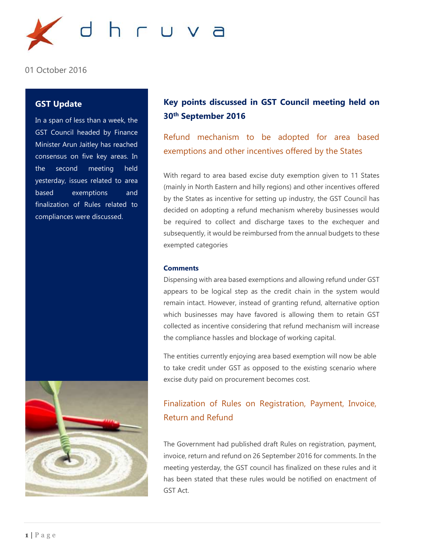

01 October 2016

## **GST Update**

In a span of less than a week, the GST Council headed by Finance Minister Arun Jaitley has reached consensus on five key areas. In the second meeting held yesterday, issues related to area based exemptions and finalization of Rules related to compliances were discussed.



# **Key points discussed in GST Council meeting held on 30th September 2016**

Refund mechanism to be adopted for area based exemptions and other incentives offered by the States

With regard to area based excise duty exemption given to 11 States (mainly in North Eastern and hilly regions) and other incentives offered by the States as incentive for setting up industry, the GST Council has decided on adopting a refund mechanism whereby businesses would be required to collect and discharge taxes to the exchequer and subsequently, it would be reimbursed from the annual budgets to these exempted categories

#### **Comments**

Dispensing with area based exemptions and allowing refund under GST appears to be logical step as the credit chain in the system would remain intact. However, instead of granting refund, alternative option which businesses may have favored is allowing them to retain GST collected as incentive considering that refund mechanism will increase the compliance hassles and blockage of working capital.

The entities currently enjoying area based exemption will now be able to take credit under GST as opposed to the existing scenario where excise duty paid on procurement becomes cost.

# Finalization of Rules on Registration, Payment, Invoice, Return and Refund

The Government had published draft Rules on registration, payment, invoice, return and refund on 26 September 2016 for comments. In the meeting yesterday, the GST council has finalized on these rules and it has been stated that these rules would be notified on enactment of GST Act.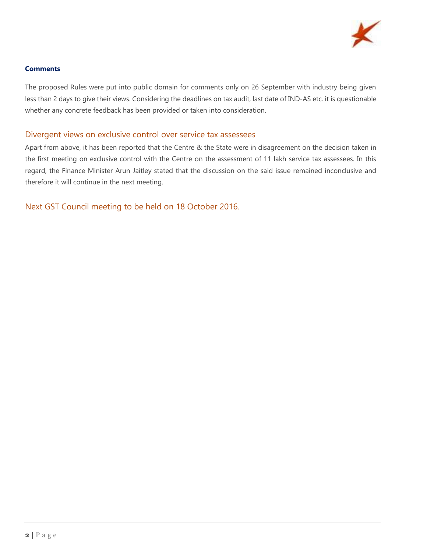

## **Comments**

The proposed Rules were put into public domain for comments only on 26 September with industry being given less than 2 days to give their views. Considering the deadlines on tax audit, last date of IND-AS etc. it is questionable whether any concrete feedback has been provided or taken into consideration.

## Divergent views on exclusive control over service tax assessees

Apart from above, it has been reported that the Centre & the State were in disagreement on the decision taken in the first meeting on exclusive control with the Centre on the assessment of 11 lakh service tax assessees. In this regard, the Finance Minister Arun Jaitley stated that the discussion on the said issue remained inconclusive and therefore it will continue in the next meeting.

Next GST Council meeting to be held on 18 October 2016.